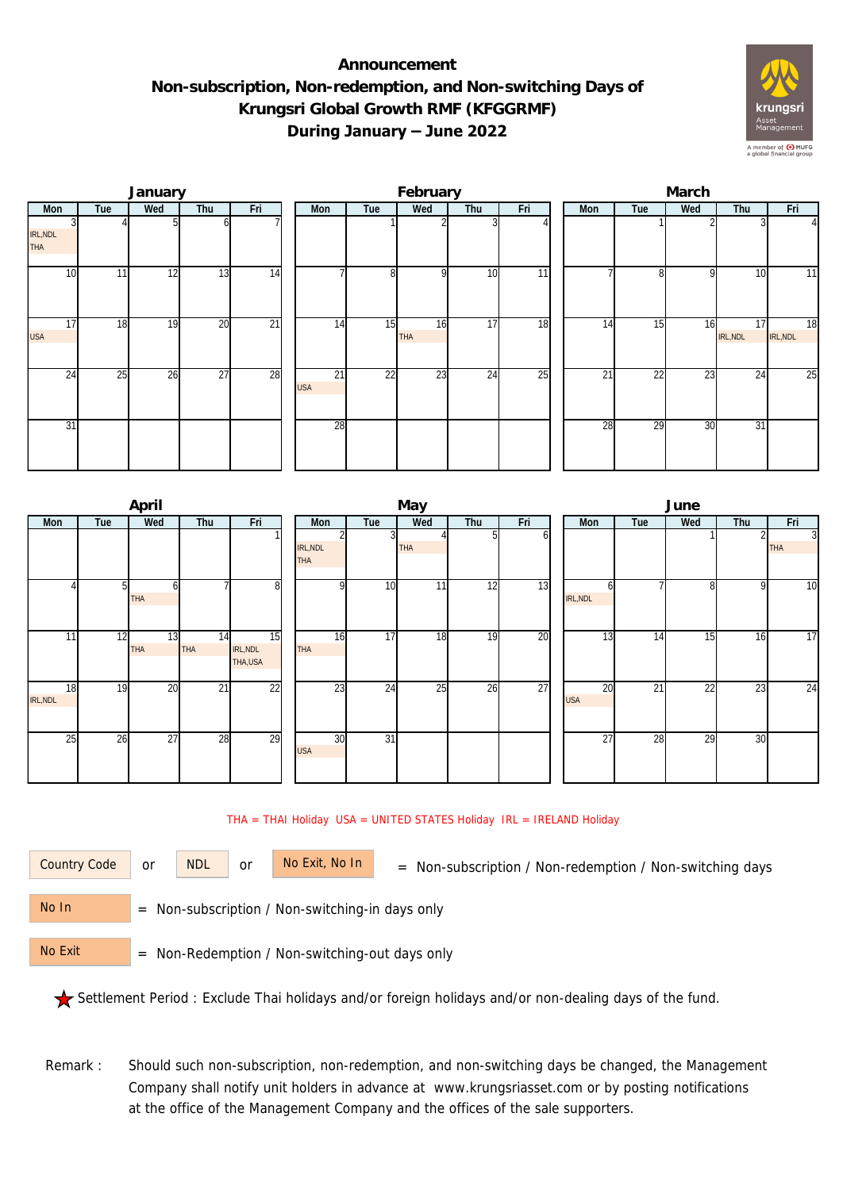## **Announcement Non-subscription, Non-redemption, and Non-switching Days of Krungsri Global Growth RMF (KFGGRMF) During January – June 2022**



|                        |     | January |                 |                 |                               |                 | February         |                 |     | March |                 |                 |                |                  |  |  |
|------------------------|-----|---------|-----------------|-----------------|-------------------------------|-----------------|------------------|-----------------|-----|-------|-----------------|-----------------|----------------|------------------|--|--|
| Mon                    | Tue | Wed     | Thu             | Fri             | Mon                           | Tue             | Wed              | Thu             | Fri | Mon   | Tue             | Wed             | Thu            | Fri              |  |  |
| IRL, NDL<br><b>THA</b> |     |         |                 |                 |                               |                 |                  |                 |     |       |                 |                 |                | $\left 4\right $ |  |  |
| 10                     | 11  | 12      | 13              | 14              |                               | 8               | $\Omega$         | 10 <sup>1</sup> | 11  |       | 8               | <sup>Q</sup>    | 10             | 11               |  |  |
| 17<br><b>USA</b>       | 18  | 19      | 20              | $\overline{21}$ | 14                            | 15              | 16<br><b>THA</b> | 17              | 18  | 14    | 15              | 16              | 17<br>IRL, NDL | 18<br>IRL, NDL   |  |  |
| 24                     | 25  | 26      | $\overline{27}$ | 28              | $\overline{21}$<br><b>USA</b> | $\overline{22}$ | $\overline{23}$  | 24              | 25  | 21    | $\overline{22}$ | $\overline{23}$ | 24             | 25               |  |  |
| $\overline{31}$        |     |         |                 |                 | 28                            |                 |                  |                 |     | 28    | 29              | 30              | 31             |                  |  |  |

|                |     | April     |                  |                           |                        |     | May        |     |     | June |                  |     |                 |                          |                 |
|----------------|-----|-----------|------------------|---------------------------|------------------------|-----|------------|-----|-----|------|------------------|-----|-----------------|--------------------------|-----------------|
| Mon            | Tue | Wed       | Fri<br>Thu       |                           | Mon                    | Tue | Wed        | Thu | Fri |      | Mon              | Tue | Wed             | Thu                      | Fri             |
|                |     |           |                  |                           | IRL, NDL<br><b>THA</b> | 3   | <b>THA</b> |     | n   |      |                  |     |                 | $\overline{\mathcal{L}}$ | 3<br><b>THA</b> |
|                | 51  | ωI<br>THA |                  | 8                         | $\Omega$               | 10  | 11         | 12  | 13  |      | IRL, NDL         |     | 8               | 9                        | 10              |
| 11             | 12  | 13<br>THA | 14<br><b>THA</b> | 15<br>IRL, NDL<br>THA,USA | 16<br><b>THA</b>       | 17  | 18         | 19  | 20  |      | 13               | 14  | 15              | 16                       | 17              |
| 18<br>IRL, NDL | 19  | 20        | 21               | $\overline{22}$           | 23                     | 24  | 25         | 26  | 27  |      | 20<br><b>USA</b> | 21  | 22              | 23                       | 24              |
| 25             | 26  | 27        | 28               | $\overline{29}$           | 30<br><b>USA</b>       | 31  |            |     |     |      | 27               | 28  | $\overline{29}$ | 30                       |                 |

## THA = THAI Holiday USA = UNITED STATES Holiday IRL = IRELAND Holiday

or NDL or

Country Code or NDL or No Exit, No In = Non-subscription / Non-redemption / Non-switching days

 = Non-subscription / Non-switching-in days only No In

 = Non-Redemption / Non-switching-out days only No Exit

Settlement Period : Exclude Thai holidays and/or foreign holidays and/or non-dealing days of the fund.

Remark : Should such non-subscription, non-redemption, and non-switching days be changed, the Management Company shall notify unit holders in advance at www.krungsriasset.com or by posting notifications at the office of the Management Company and the offices of the sale supporters.